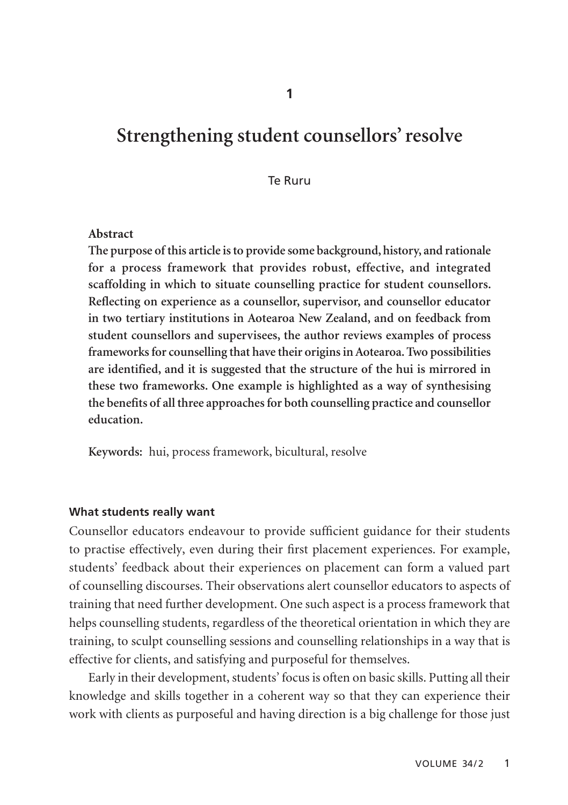**1**

# **Strengthening student counsellors' resolve**

#### Te Ruru

#### **Abstract**

**The purpose of this article is to provide some background, history, and rationale for a process framework that provides robust, effective, and integrated scaffolding in which to situate counselling practice for student counsellors. Reflecting on experience as a counsellor, supervisor, and counsellor educator in two tertiary institutions in Aotearoa New Zealand, and on feedback from student counsellors and supervisees, the author reviews examples of process frameworks for counselling that have their origins in Aotearoa. Two possibilities are identified, and it is suggested that the structure of the hui is mirrored in these two frameworks. One example is highlighted as a way of synthesising the benefits of all three approaches for both counselling practice and counsellor education.**

**Keywords:** hui, process framework, bicultural, resolve

### **What students really want**

Counsellor educators endeavour to provide sufficient guidance for their students to practise effectively, even during their first placement experiences. For example, students' feedback about their experiences on placement can form a valued part of counselling discourses. Their observations alert counsellor educators to aspects of training that need further development. One such aspect is a process framework that helps counselling students, regardless of the theoretical orientation in which they are training, to sculpt counselling sessions and counselling relationships in a way that is effective for clients, and satisfying and purposeful for themselves.

Early in their development, students' focus is often on basic skills. Putting all their knowledge and skills together in a coherent way so that they can experience their work with clients as purposeful and having direction is a big challenge for those just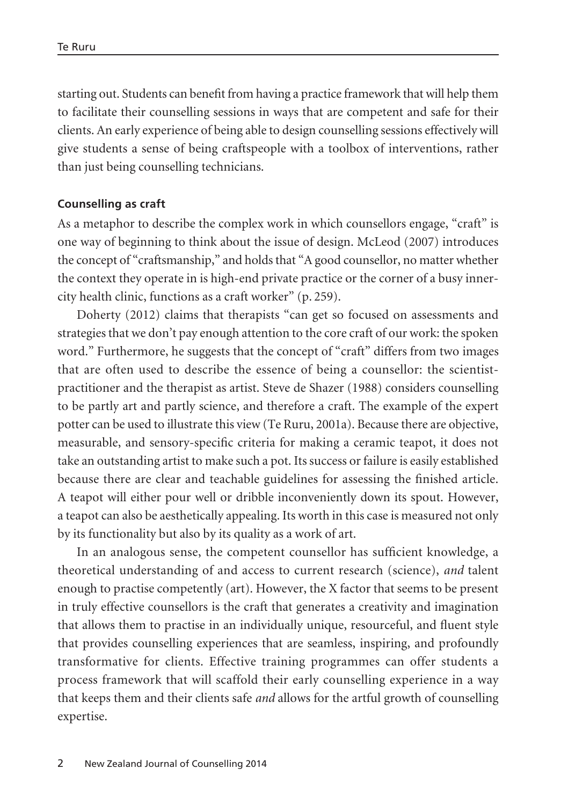starting out. Students can benefit from having a practice framework that will help them to facilitate their counselling sessions in ways that are competent and safe for their clients. An early experience of being able to design counselling sessions effectively will give students a sense of being craftspeople with a toolbox of interventions, rather than just being counselling technicians.

### **Counselling as craft**

As a metaphor to describe the complex work in which counsellors engage, "craft" is one way of beginning to think about the issue of design. McLeod (2007) introduces the concept of "craftsmanship," and holds that "A good counsellor, no matter whether the context they operate in is high-end private practice or the corner of a busy innercity health clinic, functions as a craft worker" (p. 259).

Doherty (2012) claims that therapists "can get so focused on assessments and strategies that we don't pay enough attention to the core craft of our work: the spoken word." Furthermore, he suggests that the concept of "craft" differs from two images that are often used to describe the essence of being a counsellor: the scientistpractitioner and the therapist as artist. Steve de Shazer (1988) considers counselling to be partly art and partly science, and therefore a craft. The example of the expert potter can be used to illustrate this view (Te Ruru, 2001a). Because there are objective, measurable, and sensory-specific criteria for making a ceramic teapot, it does not take an outstanding artist to make such a pot. Its success or failure is easily established because there are clear and teachable guidelines for assessing the finished article. A teapot will either pour well or dribble inconveniently down its spout. However, a teapot can also be aesthetically appealing. Its worth in this case is measured not only by its functionality but also by its quality as a work of art.

In an analogous sense, the competent counsellor has sufficient knowledge, a theoretical understanding of and access to current research (science), *and* talent enough to practise competently (art). However, the X factor that seems to be present in truly effective counsellors is the craft that generates a creativity and imagination that allows them to practise in an individually unique, resourceful, and fluent style that provides counselling experiences that are seamless, inspiring, and profoundly transformative for clients. Effective training programmes can offer students a process framework that will scaffold their early counselling experience in a way that keeps them and their clients safe *and* allows for the artful growth of counselling expertise.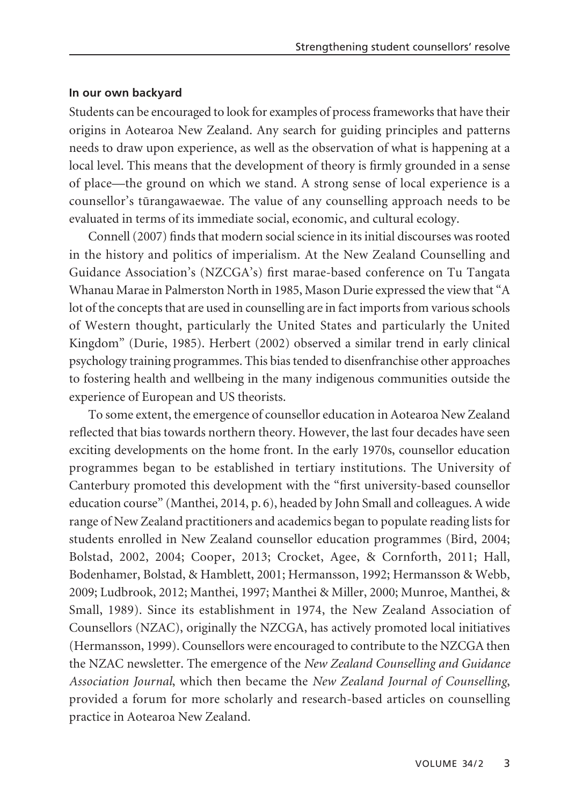### **In our own backyard**

Students can be encouraged to look for examples of process frameworks that have their origins in Aotearoa New Zealand. Any search for guiding principles and patterns needs to draw upon experience, as well as the observation of what is happening at a local level. This means that the development of theory is firmly grounded in a sense of place—the ground on which we stand. A strong sense of local experience is a counsellor's türangawaewae. The value of any counselling approach needs to be evaluated in terms of its immediate social, economic, and cultural ecology.

Connell (2007) finds that modern social science in its initial discourses was rooted in the history and politics of imperialism. At the New Zealand Counselling and Guidance Association's (NZCGA's) first marae-based conference on Tu Tangata Whanau Marae in Palmerston North in 1985, Mason Durie expressed the view that "A lot of the concepts that are used in counselling are in fact imports from various schools of Western thought, particularly the United States and particularly the United Kingdom" (Durie, 1985). Herbert (2002) observed a similar trend in early clinical psychology training programmes. This bias tended to disenfranchise other approaches to fostering health and wellbeing in the many indigenous communities outside the experience of European and US theorists.

To some extent, the emergence of counsellor education in Aotearoa New Zealand reflected that bias towards northern theory. However, the last four decades have seen exciting developments on the home front. In the early 1970s, counsellor education programmes began to be established in tertiary institutions. The University of Canterbury promoted this development with the "first university-based counsellor education course" (Manthei, 2014, p. 6), headed by John Small and colleagues. A wide range of New Zealand practitioners and academics began to populate reading lists for students enrolled in New Zealand counsellor education programmes (Bird, 2004; Bolstad, 2002, 2004; Cooper, 2013; Crocket, Agee, & Cornforth, 2011; Hall, Bodenhamer, Bolstad, & Hamblett, 2001; Hermansson, 1992; Hermansson & Webb, 2009; Ludbrook, 2012; Manthei, 1997; Manthei & Miller, 2000; Munroe, Manthei, & Small, 1989). Since its establishment in 1974, the New Zealand Association of Counsellors (NZAC), originally the NZCGA, has actively promoted local initiatives (Hermansson, 1999). Counsellors were encouraged to contribute to the NZCGA then the NZAC newsletter. The emergence of the *New Zealand Counselling and Guidance Association Journal*, which then became the *New Zealand Journal of Counselling*, provided a forum for more scholarly and research-based articles on counselling practice in Aotearoa New Zealand.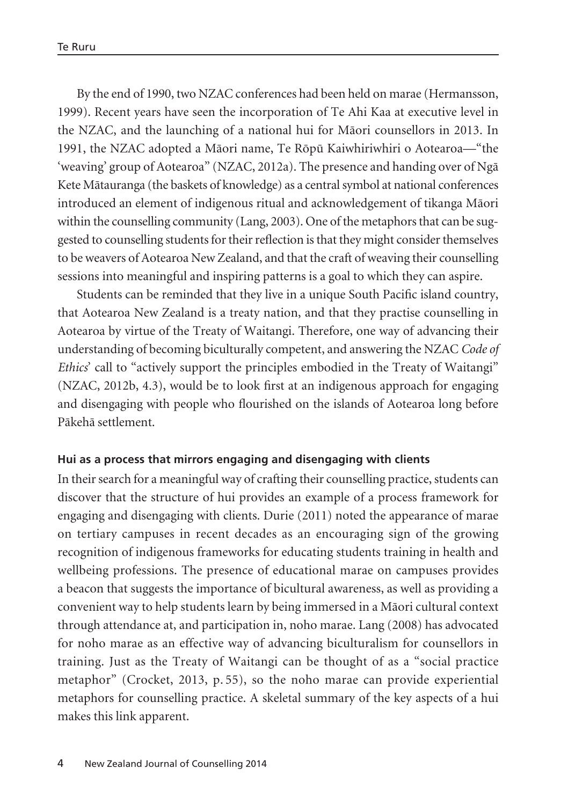By the end of 1990, two NZAC conferences had been held on marae (Hermansson, 1999). Recent years have seen the incorporation of Te Ahi Kaa at executive level in the NZAC, and the launching of a national hui for Mäori counsellors in 2013. In 1991, the NZAC adopted a Mäori name, Te Röpü Kaiwhiriwhiri o Aotearoa—"the 'weaving' group of Aotearoa" (NZAC, 2012a). The presence and handing over of Ngä Kete Mätauranga (the baskets of knowledge) as a central symbol at national conferences introduced an element of indigenous ritual and acknowledgement of tikanga Mäori within the counselling community (Lang, 2003). One of the metaphors that can be suggested to counselling students for their reflection is that they might consider themselves to be weavers of Aotearoa New Zealand, and that the craft of weaving their counselling sessions into meaningful and inspiring patterns is a goal to which they can aspire.

Students can be reminded that they live in a unique South Pacific island country, that Aotearoa New Zealand is a treaty nation, and that they practise counselling in Aotearoa by virtue of the Treaty of Waitangi. Therefore, one way of advancing their understanding of becoming biculturally competent, and answering the NZAC *Code of Ethics*' call to "actively support the principles embodied in the Treaty of Waitangi" (NZAC, 2012b, 4.3), would be to look first at an indigenous approach for engaging and disengaging with people who flourished on the islands of Aotearoa long before Päkehä settlement.

### **Hui as a process that mirrors engaging and disengaging with clients**

In their search for a meaningful way of crafting their counselling practice, students can discover that the structure of hui provides an example of a process framework for engaging and disengaging with clients. Durie (2011) noted the appearance of marae on tertiary campuses in recent decades as an encouraging sign of the growing recognition of indigenous frameworks for educating students training in health and wellbeing professions. The presence of educational marae on campuses provides a beacon that suggests the importance of bicultural awareness, as well as providing a convenient way to help students learn by being immersed in a Mäori cultural context through attendance at, and participation in, noho marae. Lang (2008) has advocated for noho marae as an effective way of advancing biculturalism for counsellors in training. Just as the Treaty of Waitangi can be thought of as a "social practice metaphor" (Crocket, 2013, p. 55), so the noho marae can provide experiential metaphors for counselling practice. A skeletal summary of the key aspects of a hui makes this link apparent.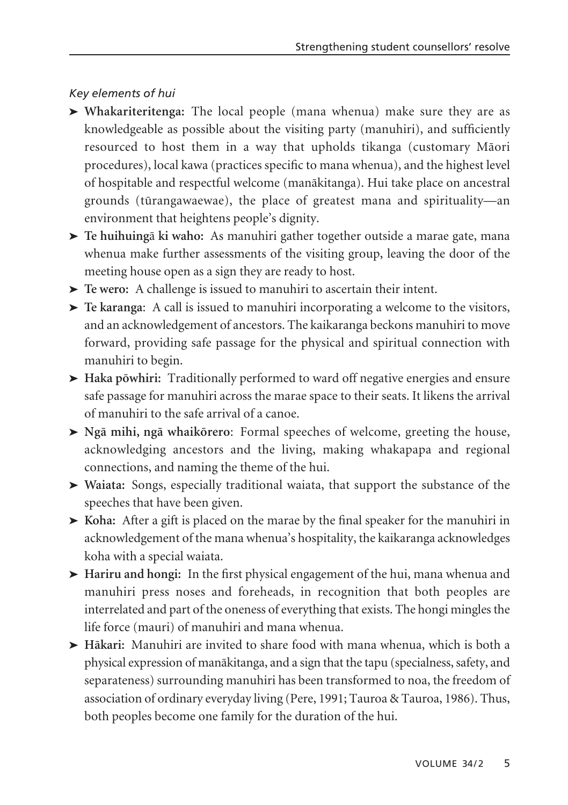# *Key elements of hui*

- } **Whakariteritenga:** The local people (mana whenua) make sure they are as knowledgeable as possible about the visiting party (manuhiri), and sufficiently resourced to host them in a way that upholds tikanga (customary Mäori procedures), local kawa (practices specific to mana whenua), and the highest level of hospitable and respectful welcome (manäkitanga). Hui take place on ancestral grounds (türanga waewae), the place of greatest mana and spirituality—an environment that heightens people's dignity.
- } **Te huihuing**ä **ki waho:** As manuhiri gather together outside a marae gate, mana whenua make further assessments of the visiting group, leaving the door of the meeting house open as a sign they are ready to host.
- $\blacktriangleright$  Te wero: A challenge is issued to manuhiri to ascertain their intent.
- $\blacktriangleright$  Te karanga: A call is issued to manuhiri incorporating a welcome to the visitors, and an acknowledgement of ancestors. The kaikaranga beckons manuhiri to move forward, providing safe passage for the physical and spiritual connection with manuhiri to begin.
- } **Haka pöwhiri:** Traditionally performed to ward off negative energies and ensure safe passage for manuhiri across the marae space to their seats. It likens the arrival of manuhiri to the safe arrival of a canoe.
- } **Ngä mihi, ngä whaikörero**: Formal speeches of welcome, greeting the house, acknowledging ancestors and the living, making whakapapa and regional connections, and naming the theme of the hui.
- } **Waiata:** Songs, especially traditional waiata, that support the substance of the speeches that have been given.
- } **Koha:** After a gift is placed on the marae by the final speaker for the manuhiri in acknowledgement of the mana whenua's hospitality, the kaikaranga acknowledges koha with a special waiata.
- } **Hariru and hongi:** In the first physical engagement of the hui, mana whenua and manuhiri press noses and foreheads, in recognition that both peoples are interrelated and part of the oneness of everything that exists. The hongi mingles the life force (mauri) of manuhiri and mana whenua.
- } **Häkari:** Manuhiri are invited to share food with mana whenua, which is both a physical expression of manäkitanga, and a sign that the tapu (specialness, safety, and separateness) surrounding manuhiri has been transformed to noa, the freedom of association of ordinary everyday living (Pere, 1991; Tauroa & Tauroa, 1986). Thus, both peoples become one family for the duration of the hui.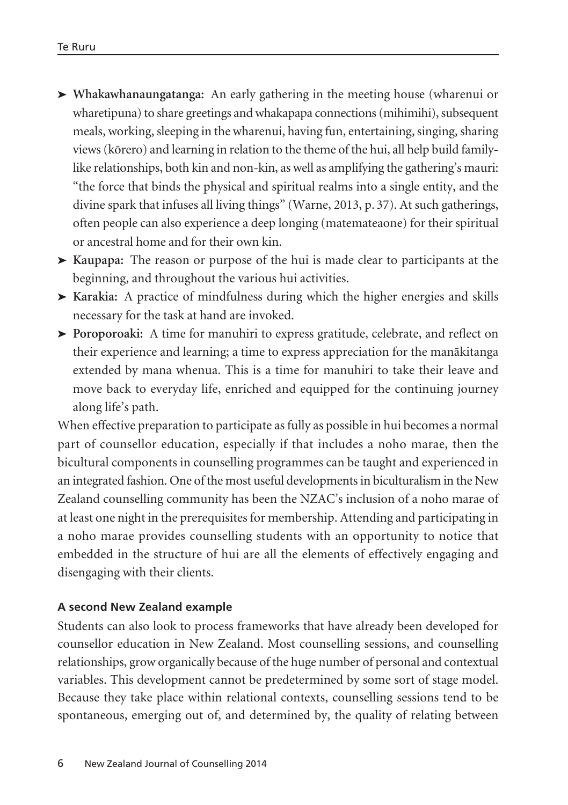- } **Whakawhanaungatanga:** An early gathering in the meeting house (wharenui or wharetipuna) to share greetings and whakapapa connections (mihimihi), subsequent meals, working, sleeping in the wharenui, having fun, entertaining, singing, sharing views (körero) and learning in relation to the theme of the hui, all help build familylike relationships, both kin and non-kin, as well as amplifying the gathering's mauri: "the force that binds the physical and spiritual realms into a single entity, and the divine spark that infuses all living things" (Warne, 2013, p. 37). At such gatherings, often people can also experience a deep longing (matemateaone) for their spiritual or ancestral home and for their own kin.
- } **Kaupapa:** The reason or purpose of the hui is made clear to participants at the beginning, and throughout the various hui activities.
- } **Karakia:** A practice of mindfulness during which the higher energies and skills necessary for the task at hand are invoked.
- $\triangleright$  **Poroporoaki:** A time for manuhiri to express gratitude, celebrate, and reflect on their experience and learning; a time to express appreciation for the manäkitanga extended by mana whenua. This is a time for manuhiri to take their leave and move back to everyday life, enriched and equipped for the continuing journey along life's path.

When effective preparation to participate as fully as possible in hui becomes a normal part of counsellor education, especially if that includes a noho marae, then the bicultural components in counselling programmes can be taught and experienced in an integrated fashion. One of the most useful developments in biculturalism in the New Zealand counselling community has been the NZAC's inclusion of a noho marae of at least one night in the prerequisites for membership. Attending and participating in a noho marae provides counselling students with an opportunity to notice that embedded in the structure of hui are all the elements of effectively engaging and disengaging with their clients.

## **A second New Zealand example**

Students can also look to process frameworks that have already been developed for counsellor education in New Zealand. Most counselling sessions, and counselling relationships, grow organically because of the huge number of personal and contextual variables. This development cannot be predetermined by some sort of stage model. Because they take place within relational contexts, counselling sessions tend to be spontaneous, emerging out of, and determined by, the quality of relating between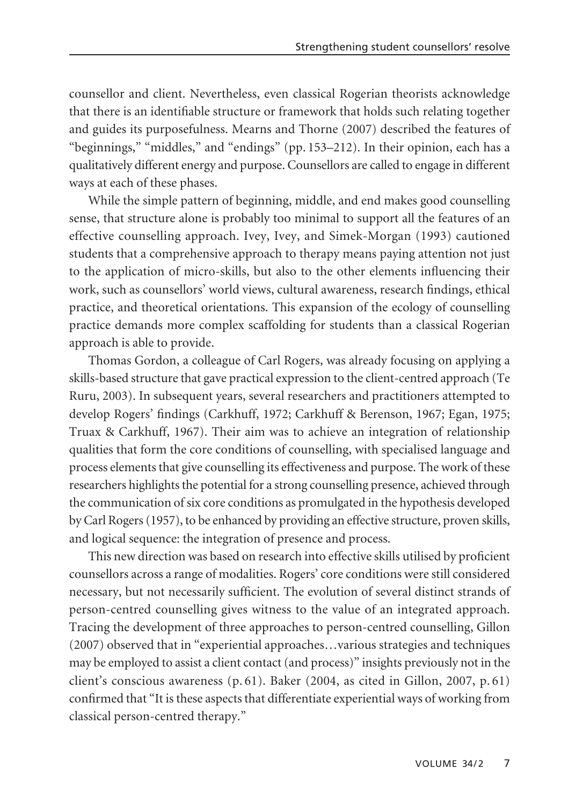counsellor and client. Nevertheless, even classical Rogerian theorists acknowledge that there is an identifiable structure or framework that holds such relating together and guides its purposefulness. Mearns and Thorne (2007) described the features of "beginnings," "middles," and "endings" (pp. 153–212). In their opinion, each has a qualitatively different energy and purpose. Counsellors are called to engage in different ways at each of these phases.

While the simple pattern of beginning, middle, and end makes good counselling sense, that structure alone is probably too minimal to support all the features of an effective counselling approach. Ivey, Ivey, and Simek-Morgan (1993) cautioned students that a comprehensive approach to therapy means paying attention not just to the application of micro-skills, but also to the other elements influencing their work, such as counsellors' world views, cultural awareness, research findings, ethical practice, and theoretical orientations. This expansion of the ecology of counselling practice demands more complex scaffolding for students than a classical Rogerian approach is able to provide.

Thomas Gordon, a colleague of Carl Rogers, was already focusing on applying a skills-based structure that gave practical expression to the client-centred approach (Te Ruru, 2003). In subsequent years, several researchers and practitioners attempted to develop Rogers' findings (Carkhuff, 1972; Carkhuff & Berenson, 1967; Egan, 1975; Truax & Carkhuff, 1967). Their aim was to achieve an integration of relationship qualities that form the core conditions of counselling, with specialised language and process elements that give counselling its effectiveness and purpose. The work of these researchers highlights the potential for a strong counselling presence, achieved through the communication of six core conditions as promulgated in the hypothesis developed by Carl Rogers (1957), to be enhanced by providing an effective structure, proven skills, and logical sequence: the integration of presence and process.

This new direction was based on research into effective skills utilised by proficient counsellors across a range of modalities. Rogers' core conditions were still considered necessary, but not necessarily sufficient. The evolution of several distinct strands of person-centred counselling gives witness to the value of an integrated approach. Tracing the development of three approaches to person-centred counselling, Gillon (2007) observed that in "experiential approaches…various strategies and techniques may be employed to assist a client contact (and process)" insights previously not in the client's conscious awareness (p. 61). Baker (2004, as cited in Gillon, 2007, p. 61) confirmed that "It is these aspects that differentiate experiential ways of working from classical person-centred therapy."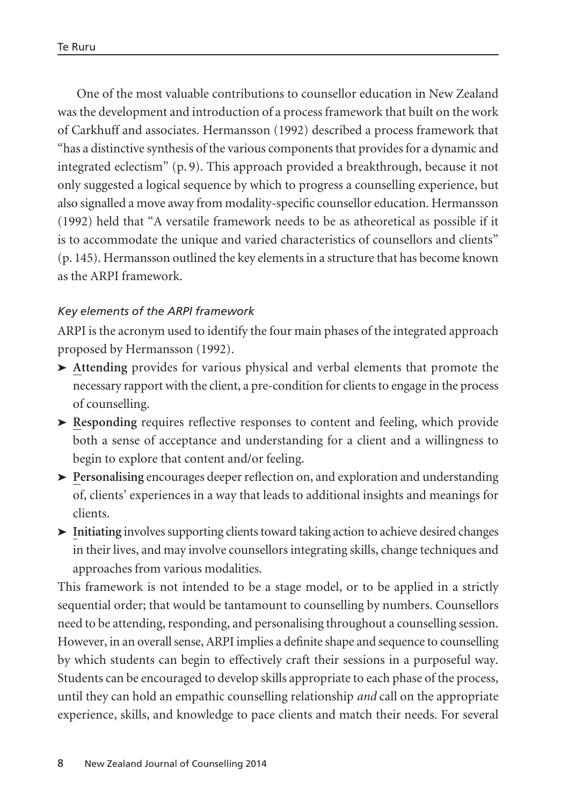One of the most valuable contributions to counsellor education in New Zealand was the development and introduction of a process framework that built on the work of Carkhuff and associates. Hermansson (1992) described a process framework that "has a distinctive synthesis of the various components that provides for a dynamic and integrated eclectism" (p. 9). This approach provided a breakthrough, because it not only suggested a logical sequence by which to progress a counselling experience, but also signalled a move away from modality-specific counsellor education. Hermansson (1992) held that "A versatile framework needs to be as atheoretical as possible if it is to accommodate the unique and varied characteristics of counsellors and clients" (p. 145). Hermansson outlined the key elements in a structure that has become known as the ARPI framework.

# *Key elements of the ARPI framework*

ARPI is the acronym used to identify the four main phases of the integrated approach proposed by Hermansson (1992).

- **► Attending** provides for various physical and verbal elements that promote the necessary rapport with the client, a pre-condition for clients to engage in the process of counselling.
- $\blacktriangleright$  **Responding** requires reflective responses to content and feeling, which provide both a sense of acceptance and understanding for a client and a willingness to begin to explore that content and/or feeling.
- **>** Personalising encourages deeper reflection on, and exploration and understanding of, clients' experiences in a way that leads to additional insights and meanings for clients.
- $\blacktriangleright$  Initiating involves supporting clients toward taking action to achieve desired changes in their lives, and may involve counsellors integrating skills, change techniques and approaches from various modalities.

This framework is not intended to be a stage model, or to be applied in a strictly sequential order; that would be tantamount to counselling by numbers. Counsellors need to be attending, responding, and personalising throughout a counselling session. However, in an overall sense, ARPI implies a definite shape and sequence to counselling by which students can begin to effectively craft their sessions in a purposeful way. Students can be encouraged to develop skills appropriate to each phase of the process, until they can hold an empathic counselling relationship *and* call on the appropriate experience, skills, and knowledge to pace clients and match their needs. For several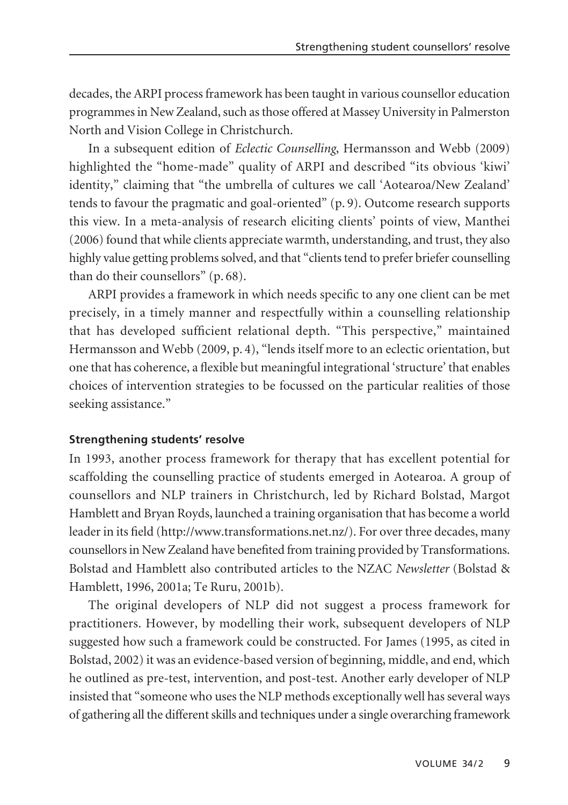decades, the ARPI process framework has been taught in various counsellor education programmes in New Zealand, such as those offered at Massey University in Palmerston North and Vision College in Christchurch.

In a subsequent edition of *Eclectic Counselling*, Hermansson and Webb (2009) highlighted the "home-made" quality of ARPI and described "its obvious 'kiwi' identity," claiming that "the umbrella of cultures we call 'Aotearoa/New Zealand' tends to favour the pragmatic and goal-oriented" (p. 9). Outcome research supports this view. In a meta-analysis of research eliciting clients' points of view, Manthei (2006) found that while clients appreciate warmth, understanding, and trust, they also highly value getting problems solved, and that "clients tend to prefer briefer counselling than do their counsellors" (p. 68).

ARPI provides a framework in which needs specific to any one client can be met precisely, in a timely manner and respectfully within a counselling relationship that has developed sufficient relational depth. "This perspective," maintained Hermansson and Webb (2009, p. 4), "lends itself more to an eclectic orientation, but one that has coherence, a flexible but meaningful integrational 'structure' that enables choices of intervention strategies to be focussed on the particular realities of those seeking assistance."

## **Strengthening students' resolve**

In 1993, another process framework for therapy that has excellent potential for scaffolding the counselling practice of students emerged in Aotearoa. A group of counsellors and NLP trainers in Christchurch, led by Richard Bolstad, Margot Hamblett and Bryan Royds, launched a training organisation that has become a world leader in its field (http://www.transformations.net.nz/). For over three decades, many counsellors in New Zealand have benefited from training provided by Transformations. Bolstad and Hamblett also contributed articles to the NZAC *Newsletter* (Bolstad & Hamblett, 1996, 2001a; Te Ruru, 2001b).

The original developers of NLP did not suggest a process framework for practitioners. However, by modelling their work, subsequent developers of NLP suggested how such a framework could be constructed. For James (1995, as cited in Bolstad, 2002) it was an evidence-based version of beginning, middle, and end, which he outlined as pre-test, intervention, and post-test. Another early developer of NLP insisted that "someone who uses the NLP methods exceptionally well has several ways of gathering all the different skills and techniques under a single overarching framework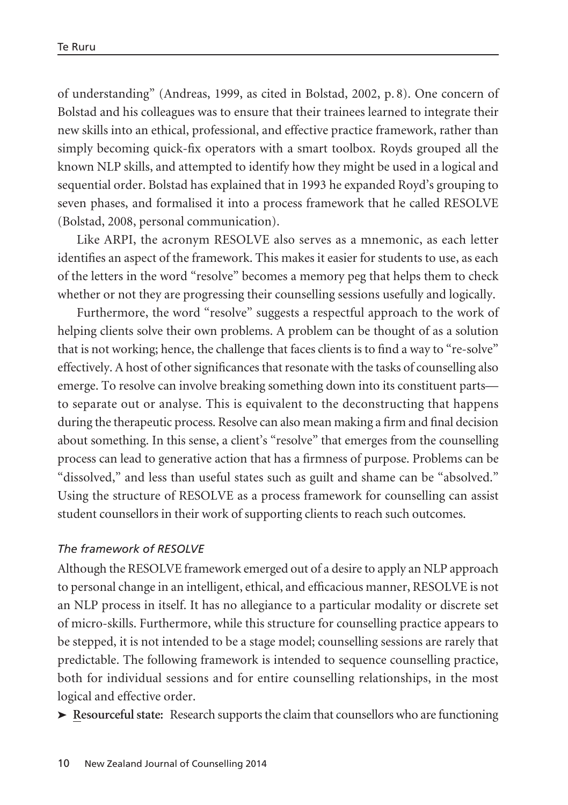of understanding" (Andreas, 1999, as cited in Bolstad, 2002, p. 8). One concern of Bolstad and his colleagues was to ensure that their trainees learned to integrate their new skills into an ethical, professional, and effective practice framework, rather than simply becoming quick-fix operators with a smart toolbox. Royds grouped all the known NLP skills, and attempted to identify how they might be used in a logical and sequential order. Bolstad has explained that in 1993 he expanded Royd's grouping to seven phases, and formalised it into a process framework that he called RESOLVE (Bolstad, 2008, personal communication).

Like ARPI, the acronym RESOLVE also serves as a mnemonic, as each letter identifies an aspect of the framework. This makes it easier for students to use, as each of the letters in the word "resolve" becomes a memory peg that helps them to check whether or not they are progressing their counselling sessions usefully and logically.

Furthermore, the word "resolve" suggests a respectful approach to the work of helping clients solve their own problems. A problem can be thought of as a solution that is not working; hence, the challenge that faces clients is to find a way to "re-solve" effectively. A host of other significances that resonate with the tasks of counselling also emerge. To resolve can involve breaking something down into its constituent parts to separate out or analyse. This is equivalent to the deconstructing that happens during the therapeutic process. Resolve can also mean making a firm and final decision about something. In this sense, a client's "resolve" that emerges from the counselling process can lead to generative action that has a firmness of purpose. Problems can be "dissolved," and less than useful states such as guilt and shame can be "absolved." Using the structure of RESOLVE as a process framework for counselling can assist student counsellors in their work of supporting clients to reach such outcomes.

## *The framework of RESOLVE*

Although the RESOLVE framework emerged out of a desire to apply an NLP approach to personal change in an intelligent, ethical, and efficacious manner, RESOLVE is not an NLP process in itself. It has no allegiance to a particular modality or discrete set of micro-skills. Furthermore, while this structure for counselling practice appears to be stepped, it is not intended to be a stage model; counselling sessions are rarely that predictable. The following framework is intended to sequence counselling practice, both for individual sessions and for entire counselling relationships, in the most logical and effective order.

} **Resourceful state:** Research supports the claim that counsellors who are functioning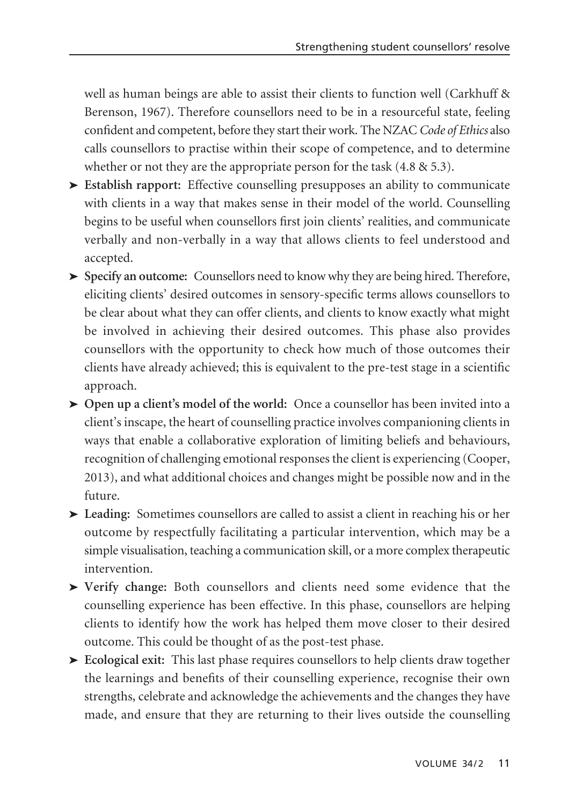well as human beings are able to assist their clients to function well (Carkhuff & Berenson, 1967). Therefore counsellors need to be in a resourceful state, feeling confident and competent, before they start their work. The NZAC *Code of Ethics* also calls counsellors to practise within their scope of competence, and to determine whether or not they are the appropriate person for the task  $(4.8 \& 5.3)$ .

- } **Establish rapport:** Effective counselling presupposes an ability to communicate with clients in a way that makes sense in their model of the world. Counselling begins to be useful when counsellors first join clients' realities, and communicate verbally and non-verbally in a way that allows clients to feel understood and accepted.
- } **Specify an outcome:** Counsellors need to know why they are being hired. Therefore, eliciting clients' desired outcomes in sensory-specific terms allows counsellors to be clear about what they can offer clients, and clients to know exactly what might be involved in achieving their desired outcomes. This phase also provides counsellors with the opportunity to check how much of those outcomes their clients have already achieved; this is equivalent to the pre-test stage in a scientific approach.
- } **Open up a client's model of the world:** Once a counsellor has been invited into a client's inscape, the heart of counselling practice involves companioning clients in ways that enable a collaborative exploration of limiting beliefs and behaviours, recognition of challenging emotional responses the client is experiencing (Cooper, 2013), and what additional choices and changes might be possible now and in the future.
- $\blacktriangleright$  **Leading:** Sometimes counsellors are called to assist a client in reaching his or her outcome by respectfully facilitating a particular intervention, which may be a simple visualisation, teaching a communication skill, or a more complex therapeutic intervention.
- } **Verify change:** Both counsellors and clients need some evidence that the counselling experience has been effective. In this phase, counsellors are helping clients to identify how the work has helped them move closer to their desired outcome. This could be thought of as the post-test phase.
- $\blacktriangleright$  **Ecological exit:** This last phase requires counsellors to help clients draw together the learnings and benefits of their counselling experience, recognise their own strengths, celebrate and acknowledge the achievements and the changes they have made, and ensure that they are returning to their lives outside the counselling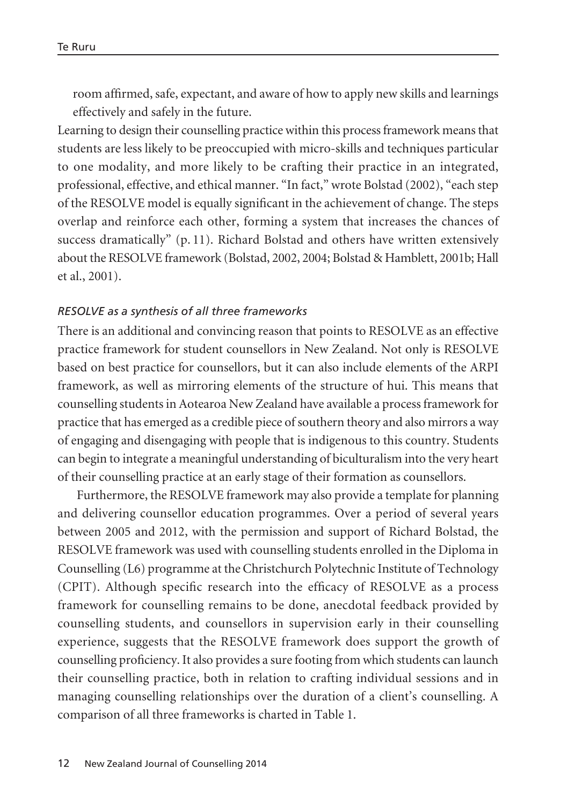room affirmed, safe, expectant, and aware of how to apply new skills and learnings effectively and safely in the future.

Learning to design their counselling practice within this process framework means that students are less likely to be preoccupied with micro-skills and techniques particular to one modality, and more likely to be crafting their practice in an integrated, professional, effective, and ethical manner. "In fact," wrote Bolstad (2002), "each step of the RESOLVE model is equally significant in the achievement of change. The steps overlap and reinforce each other, forming a system that increases the chances of success dramatically" (p. 11). Richard Bolstad and others have written extensively about the RESOLVE framework (Bolstad, 2002, 2004; Bolstad & Hamblett, 2001b; Hall et al., 2001).

### *RESOLVE as a synthesis of all three frameworks*

There is an additional and convincing reason that points to RESOLVE as an effective practice framework for student counsellors in New Zealand. Not only is RESOLVE based on best practice for counsellors, but it can also include elements of the ARPI framework, as well as mirroring elements of the structure of hui. This means that counselling students in Aotearoa New Zealand have available a process framework for practice that has emerged as a credible piece of southern theory and also mirrors a way of engaging and disengaging with people that is indigenous to this country. Students can begin to integrate a meaningful understanding of biculturalism into the very heart of their counselling practice at an early stage of their formation as counsellors.

Furthermore, the RESOLVE framework may also provide a template for planning and delivering counsellor education programmes. Over a period of several years between 2005 and 2012, with the permission and support of Richard Bolstad, the RESOLVE framework was used with counselling students enrolled in the Diploma in Counselling (L6) programme at the Christchurch Polytechnic Institute of Technology (CPIT). Although specific research into the efficacy of RESOLVE as a process framework for counselling remains to be done, anecdotal feedback provided by counselling students, and counsellors in supervision early in their counselling experience, suggests that the RESOLVE framework does support the growth of counselling proficiency. It also provides a sure footing from which students can launch their counselling practice, both in relation to crafting individual sessions and in managing counselling relationships over the duration of a client's counselling. A comparison of all three frameworks is charted in Table 1.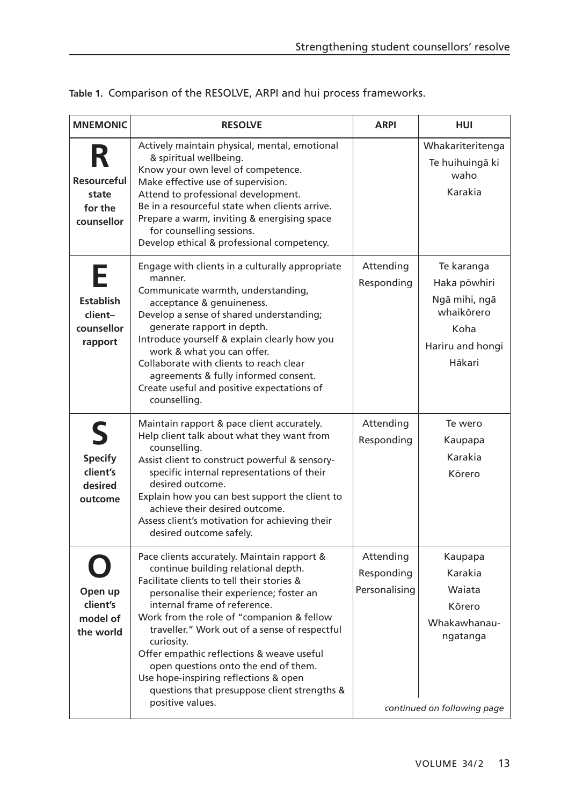|  | Table 1. Comparison of the RESOLVE, ARPI and hui process frameworks. |  |  |
|--|----------------------------------------------------------------------|--|--|
|  |                                                                      |  |  |

| <b>MNEMONIC</b>                                           | <b>RESOLVE</b>                                                                                                                                                                                                                                                                                                                                                                                                                                                                                                            | <b>ARPI</b>                              | HUI                                                                                               |
|-----------------------------------------------------------|---------------------------------------------------------------------------------------------------------------------------------------------------------------------------------------------------------------------------------------------------------------------------------------------------------------------------------------------------------------------------------------------------------------------------------------------------------------------------------------------------------------------------|------------------------------------------|---------------------------------------------------------------------------------------------------|
| R<br>Resourceful<br>state<br>for the<br>counsellor        | Actively maintain physical, mental, emotional<br>& spiritual wellbeing.<br>Know your own level of competence.<br>Make effective use of supervision.<br>Attend to professional development.<br>Be in a resourceful state when clients arrive.<br>Prepare a warm, inviting & energising space<br>for counselling sessions.<br>Develop ethical & professional competency.                                                                                                                                                    |                                          | Whakariteritenga<br>Te huihuingā ki<br>waho<br>Karakia                                            |
| Е<br><b>Establish</b><br>client-<br>counsellor<br>rapport | Engage with clients in a culturally appropriate<br>manner.<br>Communicate warmth, understanding,<br>acceptance & genuineness.<br>Develop a sense of shared understanding;<br>generate rapport in depth.<br>Introduce yourself & explain clearly how you<br>work & what you can offer.<br>Collaborate with clients to reach clear<br>agreements & fully informed consent.<br>Create useful and positive expectations of<br>counselling.                                                                                    | Attending<br>Responding                  | Te karanga<br>Haka põwhiri<br>Ngā mihi, ngā<br>whaikōrero<br>Koha<br>Hariru and hongi<br>Hākari   |
| S<br><b>Specify</b><br>client's<br>desired<br>outcome     | Maintain rapport & pace client accurately.<br>Help client talk about what they want from<br>counselling.<br>Assist client to construct powerful & sensory-<br>specific internal representations of their<br>desired outcome.<br>Explain how you can best support the client to<br>achieve their desired outcome.<br>Assess client's motivation for achieving their<br>desired outcome safely.                                                                                                                             | Attending<br>Responding                  | Te wero<br>Kaupapa<br>Karakia<br>Körero                                                           |
| Open up<br>client's<br>model of<br>the world              | Pace clients accurately. Maintain rapport &<br>continue building relational depth.<br>Facilitate clients to tell their stories &<br>personalise their experience; foster an<br>internal frame of reference.<br>Work from the role of "companion & fellow<br>traveller." Work out of a sense of respectful<br>curiosity.<br>Offer empathic reflections & weave useful<br>open questions onto the end of them.<br>Use hope-inspiring reflections & open<br>questions that presuppose client strengths &<br>positive values. | Attending<br>Responding<br>Personalising | Kaupapa<br>Karakia<br>Waiata<br>Körero<br>Whakawhanau-<br>ngatanga<br>continued on following page |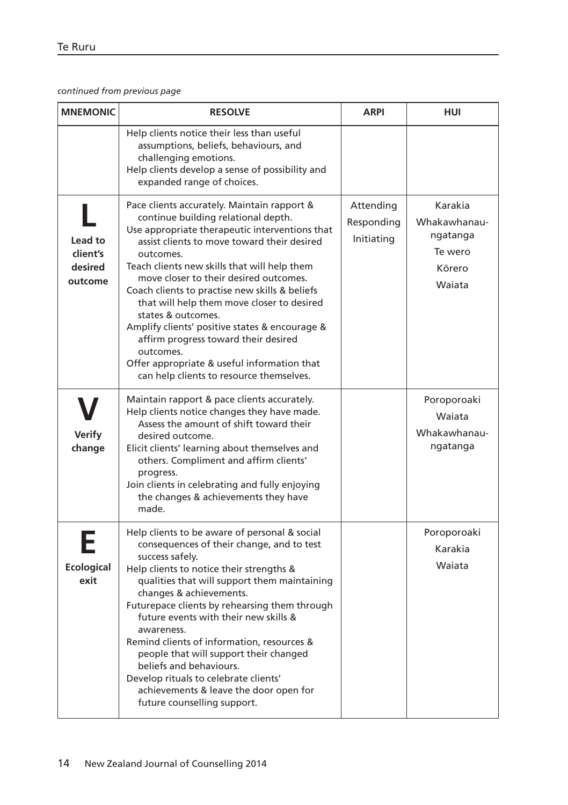#### *continued from previous page*

| <b>MNEMONIC</b>                           | <b>RESOLVE</b>                                                                                                                                                                                                                                                                                                                                                                                                                                                                                                                                                                                                     | <b>ARPI</b>                           | HUI                                                                |
|-------------------------------------------|--------------------------------------------------------------------------------------------------------------------------------------------------------------------------------------------------------------------------------------------------------------------------------------------------------------------------------------------------------------------------------------------------------------------------------------------------------------------------------------------------------------------------------------------------------------------------------------------------------------------|---------------------------------------|--------------------------------------------------------------------|
|                                           | Help clients notice their less than useful<br>assumptions, beliefs, behaviours, and<br>challenging emotions.<br>Help clients develop a sense of possibility and<br>expanded range of choices.                                                                                                                                                                                                                                                                                                                                                                                                                      |                                       |                                                                    |
| Lead to<br>client's<br>desired<br>outcome | Pace clients accurately. Maintain rapport &<br>continue building relational depth.<br>Use appropriate therapeutic interventions that<br>assist clients to move toward their desired<br>outcomes.<br>Teach clients new skills that will help them<br>move closer to their desired outcomes.<br>Coach clients to practise new skills & beliefs<br>that will help them move closer to desired<br>states & outcomes.<br>Amplify clients' positive states & encourage &<br>affirm progress toward their desired<br>outcomes.<br>Offer appropriate & useful information that<br>can help clients to resource themselves. | Attending<br>Responding<br>Initiating | Karakia<br>Whakawhanau-<br>ngatanga<br>Te wero<br>Körero<br>Waiata |
| Verify<br>change                          | Maintain rapport & pace clients accurately.<br>Help clients notice changes they have made.<br>Assess the amount of shift toward their<br>desired outcome.<br>Elicit clients' learning about themselves and<br>others. Compliment and affirm clients'<br>progress.<br>Join clients in celebrating and fully enjoying<br>the changes & achievements they have<br>made.                                                                                                                                                                                                                                               |                                       | Poroporoaki<br>Waiata<br>Whakawhanau-<br>ngatanga                  |
| Ecological<br>exit                        | Help clients to be aware of personal & social<br>consequences of their change, and to test<br>success safely.<br>Help clients to notice their strengths &<br>qualities that will support them maintaining<br>changes & achievements.<br>Futurepace clients by rehearsing them through<br>future events with their new skills &<br>awareness.<br>Remind clients of information, resources &<br>people that will support their changed<br>beliefs and behaviours.<br>Develop rituals to celebrate clients'<br>achievements & leave the door open for<br>future counselling support.                                  |                                       | Poroporoaki<br>Karakia<br>Waiata                                   |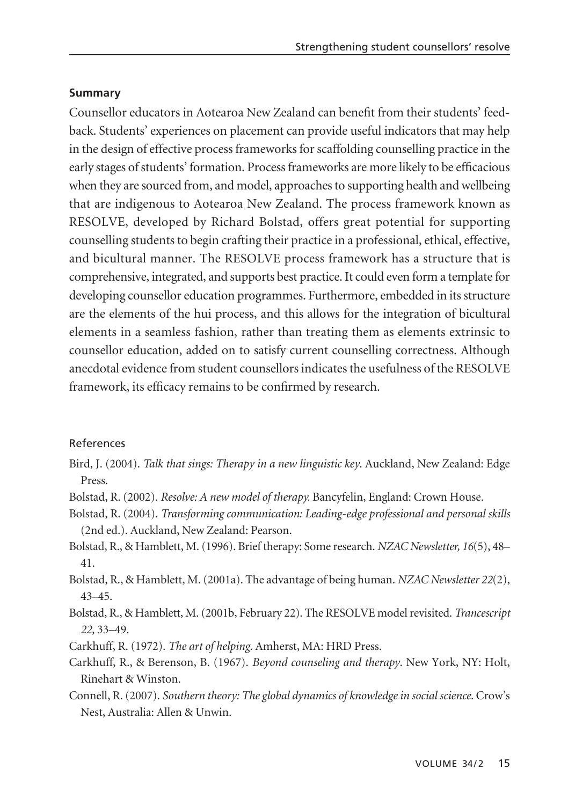## **Summary**

Counsellor educators in Aotearoa New Zealand can benefit from their students' feedback. Students' experiences on placement can provide useful indicators that may help in the design of effective process frameworks for scaffolding counselling practice in the early stages of students' formation. Process frameworks are more likely to be efficacious when they are sourced from, and model, approaches to supporting health and wellbeing that are indigenous to Aotearoa New Zealand. The process framework known as RESOLVE, developed by Richard Bolstad, offers great potential for supporting counselling students to begin crafting their practice in a professional, ethical, effective, and bicultural manner. The RESOLVE process framework has a structure that is comprehensive, integrated, and supports best practice. It could even form a template for developing counsellor education programmes. Furthermore, embedded in its structure are the elements of the hui process, and this allows for the integration of bicultural elements in a seamless fashion, rather than treating them as elements extrinsic to counsellor education, added on to satisfy current counselling correctness. Although anecdotal evidence from student counsellors indicates the usefulness of the RESOLVE framework, its efficacy remains to be confirmed by research.

## References

- Bird, J. (2004). *Talk that sings: Therapy in a new linguistic key*. Auckland, New Zealand: Edge Press.
- Bolstad, R. (2002). *Resolve: A new model of therapy.* Bancyfelin, England: Crown House.
- Bolstad, R. (2004). *Transforming communication: Leading-edge professional and personal skills* (2nd ed.). Auckland, New Zealand: Pearson.
- Bolstad, R., & Hamblett, M. (1996). Brief therapy: Some research. *NZAC Newsletter, 16*(5), 48– 41.
- Bolstad, R., & Hamblett, M. (2001a). The advantage of being human. *NZAC Newsletter 22*(2), 43–45.
- Bolstad, R., & Hamblett, M. (2001b, February 22). The RESOLVE model revisited. *Trancescript 22*, 33–49.
- Carkhuff, R. (1972). *The art of helping.* Amherst, MA: HRD Press.
- Carkhuff, R., & Berenson, B. (1967). *Beyond counseling and therapy*. New York, NY: Holt, Rinehart & Winston.
- Connell, R. (2007). *Southern theory: The global dynamics of knowledge in social science*. Crow's Nest, Australia: Allen & Unwin.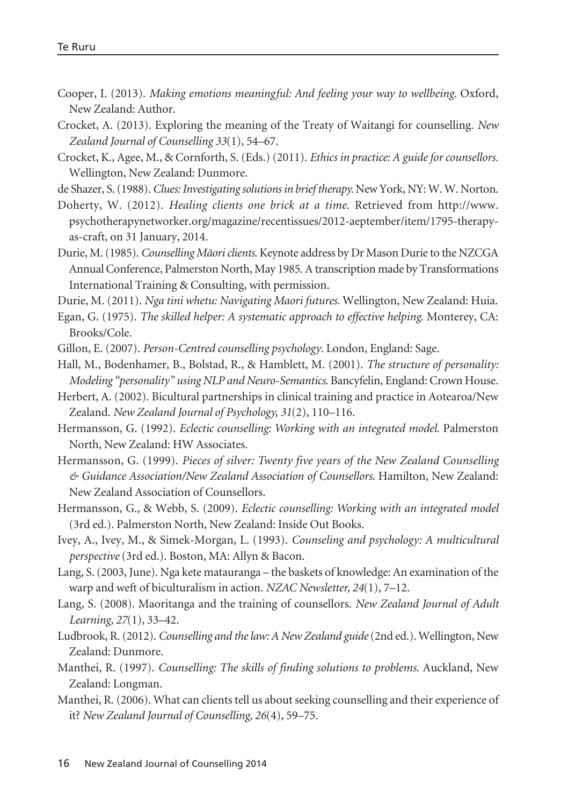- Cooper, I. (2013). *Making emotions meaningful: And feeling your way to wellbeing*. Oxford, New Zealand: Author.
- Crocket, A. (2013). Exploring the meaning of the Treaty of Waitangi for counselling. *New Zealand Journal of Counselling 33*(1), 54–67.
- Crocket, K., Agee, M., & Cornforth, S. (Eds.) (2011). *Ethics in practice: A guide for counsellors.* Wellington, New Zealand: Dunmore.

de Shazer, S. (1988). *Clues: Investigating solutions in brief therapy.* New York, NY: W. W. Norton.

Doherty, W. (2012). *Healing clients one brick at a time*. Retrieved from http://www. psychotherapynetworker.org/magazine/recentissues/2012-aeptember/item/1795-therapyas-craft, on 31 January, 2014.

Durie, M. (1985). *Counselling Mäori clients*. Keynote address by Dr Mason Durie to the NZCGA Annual Conference, Palmerston North, May 1985. A transcription made by Transformations International Training & Consulting, with permission.

Durie, M. (2011). *Nga tini whetu: Navigating Maori futures.* Wellington, New Zealand: Huia.

Egan, G. (1975). *The skilled helper: A systematic approach to effective helping*. Monterey, CA: Brooks/Cole.

Gillon, E. (2007). *Person-Centred counselling psychology*. London, England: Sage.

Hall, M., Bodenhamer, B., Bolstad, R., & Hamblett, M. (2001). *The structure of personality: Modeling "personality" using NLP and Neuro-Semantics*. Bancyfelin, England: Crown House.

Herbert, A. (2002). Bicultural partnerships in clinical training and practice in Aotearoa/New Zealand. *New Zealand Journal of Psychology, 31*(2), 110–116.

Hermansson, G. (1992). *Eclectic counselling: Working with an integrated model*. Palmerston North, New Zealand: HW Associates.

Hermansson, G. (1999). *Pieces of silver: Twenty five years of the New Zealand Counselling & Guidance Association/New Zealand Association of Counsellors*. Hamilton, New Zealand: New Zealand Association of Counsellors.

Hermansson, G., & Webb, S. (2009). *Eclectic counselling: Working with an integrated model* (3rd ed.). Palmerston North, New Zealand: Inside Out Books.

- Ivey, A., Ivey, M., & Simek-Morgan, L. (1993). *Counseling and psychology: A multicultural perspective* (3rd ed.). Boston, MA: Allyn & Bacon.
- Lang, S. (2003, June). Nga kete matauranga the baskets of knowledge: An examination of the warp and weft of biculturalism in action. *NZAC Newsletter, 24*(1), 7–12.
- Lang, S. (2008). Maoritanga and the training of counsellors. *New Zealand Journal of Adult Learning, 27*(1), 33–42.
- Ludbrook, R. (2012). *Counselling and the law: A New Zealand guide*(2nd ed.). Wellington, New Zealand: Dunmore.
- Manthei, R. (1997). *Counselling: The skills of finding solutions to problems*. Auckland, New Zealand: Longman.
- Manthei, R. (2006). What can clients tell us about seeking counselling and their experience of it? *New Zealand Journal of Counselling, 26*(4), 59–75.